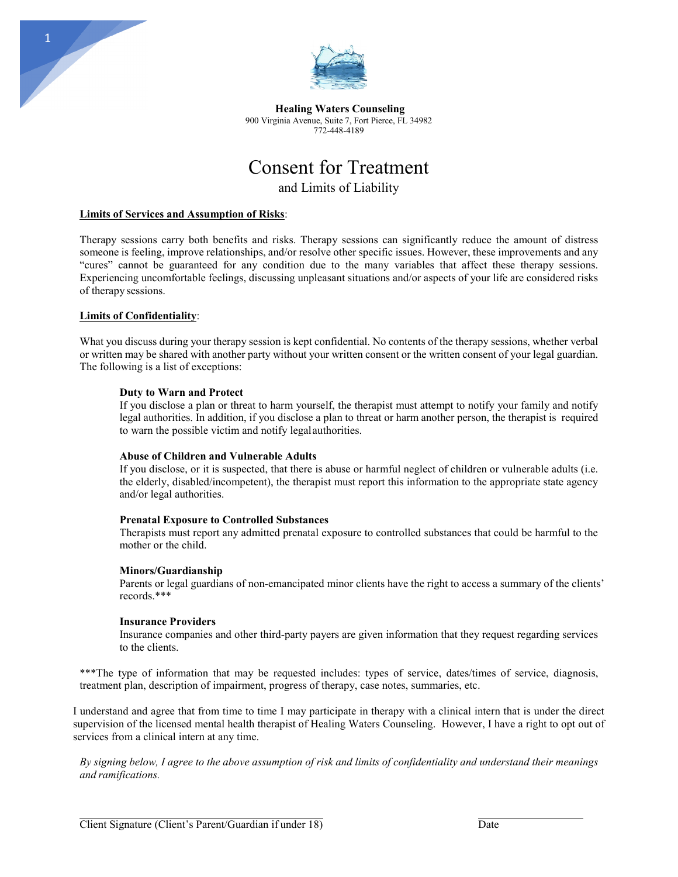

**Healing Waters Counseling** 900 Virginia Avenue, Suite 7, Fort Pierce, FL 34982 772-448-4189

# Consent for Treatment

and Limits of Liability

# **Limits of Services and Assumption of Risks**:

Therapy sessions carry both benefits and risks. Therapy sessions can significantly reduce the amount of distress someone is feeling, improve relationships, and/or resolve other specific issues. However, these improvements and any "cures" cannot be guaranteed for any condition due to the many variables that affect these therapy sessions. Experiencing uncomfortable feelings, discussing unpleasant situations and/or aspects of your life are considered risks of therapy sessions.

## **Limits of Confidentiality**:

1

What you discuss during your therapy session is kept confidential. No contents of the therapy sessions, whether verbal or written may be shared with another party without your written consent or the written consent of your legal guardian. The following is a list of exceptions:

## **Duty to Warn and Protect**

If you disclose a plan or threat to harm yourself, the therapist must attempt to notify your family and notify legal authorities. In addition, if you disclose a plan to threat or harm another person, the therapist is required to warn the possible victim and notify legalauthorities.

#### **Abuse of Children and Vulnerable Adults**

If you disclose, or it is suspected, that there is abuse or harmful neglect of children or vulnerable adults (i.e. the elderly, disabled/incompetent), the therapist must report this information to the appropriate state agency and/or legal authorities.

#### **Prenatal Exposure to Controlled Substances**

Therapists must report any admitted prenatal exposure to controlled substances that could be harmful to the mother or the child.

#### **Minors/Guardianship**

Parents or legal guardians of non-emancipated minor clients have the right to access a summary of the clients' records.\*\*\*

#### **Insurance Providers**

Insurance companies and other third-party payers are given information that they request regarding services to the clients.

\*\*\*The type of information that may be requested includes: types of service, dates/times of service, diagnosis, treatment plan, description of impairment, progress of therapy, case notes, summaries, etc.

I understand and agree that from time to time I may participate in therapy with a clinical intern that is under the direct supervision of the licensed mental health therapist of Healing Waters Counseling. However, I have a right to opt out of services from a clinical intern at any time.

*By signing below, I agree to the above assumption of risk and limits of confidentiality and understand their meanings and ramifications.*